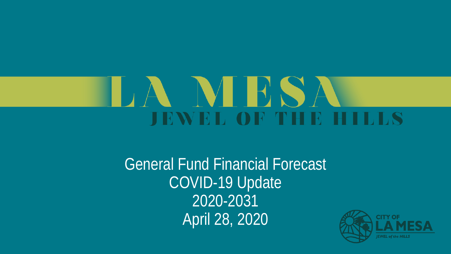# NHS/ **JEWEL OF THE HILLS**

General Fund Financial Forecast COVID-19 Update 2020-2031 April 28, 2020

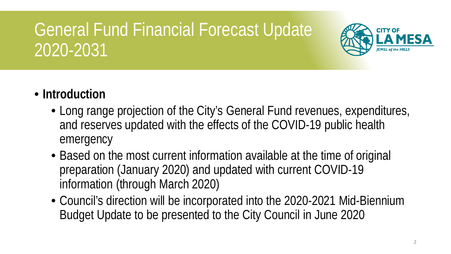

- **Introduction**
	- Long range projection of the City's General Fund revenues, expenditures, and reserves updated with the effects of the COVID-19 public health emergency
	- Based on the most current information available at the time of original preparation (January 2020) and updated with current COVID-19 information (through March 2020)
	- Council's direction will be incorporated into the 2020-2021 Mid-Biennium Budget Update to be presented to the City Council in June 2020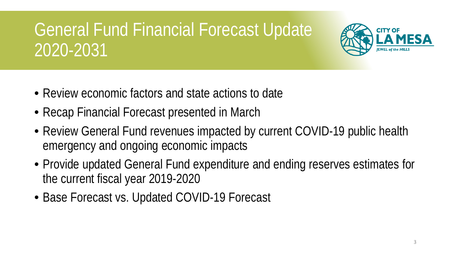

- Review economic factors and state actions to date
- Recap Financial Forecast presented in March
- Review General Fund revenues impacted by current COVID-19 public health emergency and ongoing economic impacts
- Provide updated General Fund expenditure and ending reserves estimates for the current fiscal year 2019-2020
- Base Forecast vs. Updated COVID-19 Forecast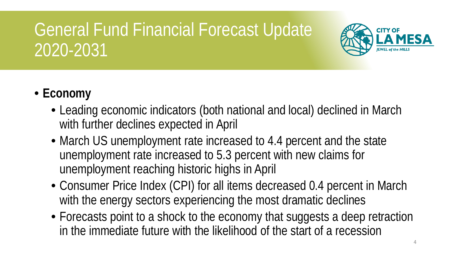

#### • **Economy**

- Leading economic indicators (both national and local) declined in March with further declines expected in April
- March US unemployment rate increased to 4.4 percent and the state unemployment rate increased to 5.3 percent with new claims for unemployment reaching historic highs in April
- Consumer Price Index (CPI) for all items decreased 0.4 percent in March with the energy sectors experiencing the most dramatic declines
- Forecasts point to a shock to the economy that suggests a deep retraction in the immediate future with the likelihood of the start of a recession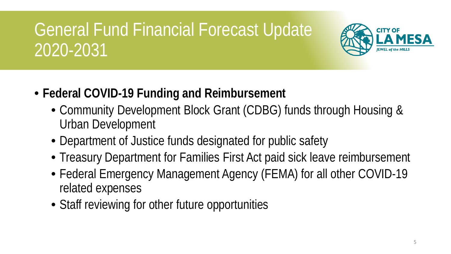

- **Federal COVID-19 Funding and Reimbursement**
	- Community Development Block Grant (CDBG) funds through Housing & Urban Development
	- Department of Justice funds designated for public safety
	- Treasury Department for Families First Act paid sick leave reimbursement
	- Federal Emergency Management Agency (FEMA) for all other COVID-19 related expenses
	- Staff reviewing for other future opportunities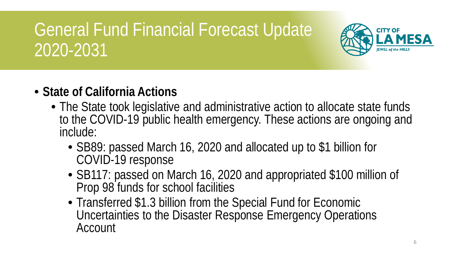

- **State of California Actions**
	- The State took legislative and administrative action to allocate state funds to the COVID-19 public health emergency. These actions are ongoing and include:
		- SB89: passed March 16, 2020 and allocated up to \$1 billion for COVID-19 response
		- SB117: passed on March 16, 2020 and appropriated \$100 million of Prop 98 funds for school facilities
		- Transferred \$1.3 billion from the Special Fund for Economic Uncertainties to the Disaster Response Emergency Operations Account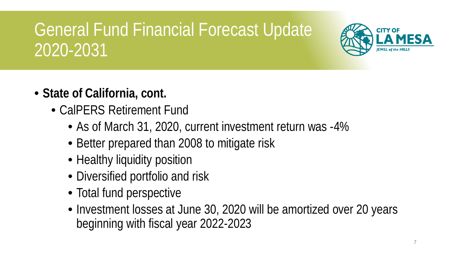

- **State of California, cont.**
	- CalPERS Retirement Fund
		- As of March 31, 2020, current investment return was -4%
		- Better prepared than 2008 to mitigate risk
		- Healthy liquidity position
		- Diversified portfolio and risk
		- Total fund perspective
		- Investment losses at June 30, 2020 will be amortized over 20 years beginning with fiscal year 2022-2023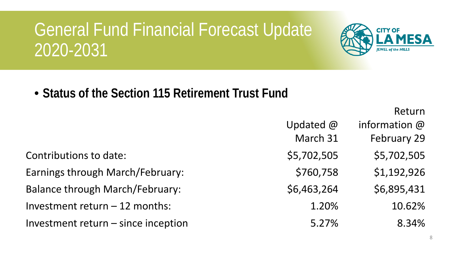

• **Status of the Section 115 Retirement Trust Fund**

Return

|                                        | Updated $@$ | information @ |
|----------------------------------------|-------------|---------------|
|                                        | March 31    | February 29   |
| Contributions to date:                 | \$5,702,505 | \$5,702,505   |
| Earnings through March/February:       | \$760,758   | \$1,192,926   |
| <b>Balance through March/February:</b> | \$6,463,264 | \$6,895,431   |
| Investment return $-12$ months:        | 1.20%       | 10.62%        |
| Investment return - since inception    | 5.27%       | 8.34%         |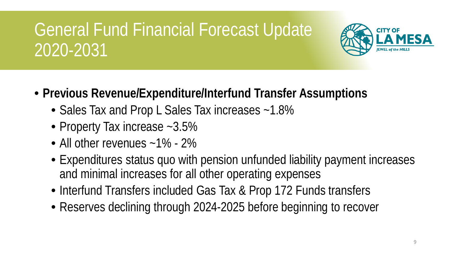

- **Previous Revenue/Expenditure/Interfund Transfer Assumptions**
	- Sales Tax and Prop L Sales Tax increases ~1.8%
	- Property Tax increase ~3.5%
	- All other revenues ~1% 2%
	- Expenditures status quo with pension unfunded liability payment increases and minimal increases for all other operating expenses
	- Interfund Transfers included Gas Tax & Prop 172 Funds transfers
	- Reserves declining through 2024-2025 before beginning to recover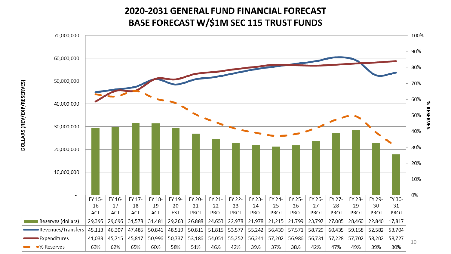# **2020-2031 GENERAL FUND FINANCIAL FORECAST**

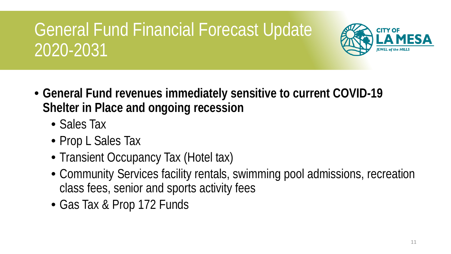

- **General Fund revenues immediately sensitive to current COVID-19 Shelter in Place and ongoing recession**
	- Sales Tax
	- Prop L Sales Tax
	- Transient Occupancy Tax (Hotel tax)
	- Community Services facility rentals, swimming pool admissions, recreation class fees, senior and sports activity fees
	- Gas Tax & Prop 172 Funds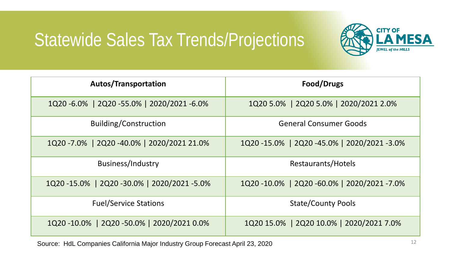#### Statewide Sales Tax Trends/Projections



| <b>Autos/Transportation</b>              | Food/Drugs                               |  |  |
|------------------------------------------|------------------------------------------|--|--|
| 1Q20-6.0%   2Q20-55.0%   2020/2021-6.0%  | 1Q20 5.0%   2Q20 5.0%   2020/2021 2.0%   |  |  |
| <b>Building/Construction</b>             | <b>General Consumer Goods</b>            |  |  |
| 1Q20-7.0%   2Q20-40.0%   2020/2021 21.0% | 1Q20-15.0%   2Q20-45.0%   2020/2021-3.0% |  |  |
| <b>Business/Industry</b>                 | Restaurants/Hotels                       |  |  |
| 1Q20-15.0%   2Q20-30.0%   2020/2021-5.0% | 1Q20-10.0%   2Q20-60.0%   2020/2021-7.0% |  |  |
| <b>Fuel/Service Stations</b>             | <b>State/County Pools</b>                |  |  |
| 1Q20-10.0%   2Q20-50.0%   2020/2021 0.0% | 1Q20 15.0%   2Q20 10.0%   2020/2021 7.0% |  |  |

Source: HdL Companies California Major Industry Group Forecast April 23, 2020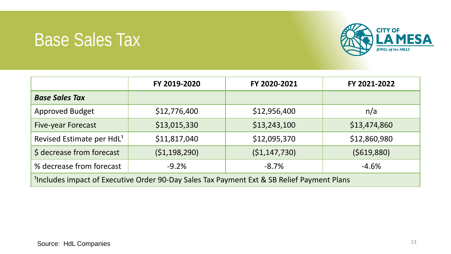#### Base Sales Tax



|                                                                                                        | FY 2019-2020   | FY 2020-2021   | FY 2021-2022 |  |
|--------------------------------------------------------------------------------------------------------|----------------|----------------|--------------|--|
| <b>Base Sales Tax</b>                                                                                  |                |                |              |  |
| <b>Approved Budget</b>                                                                                 | \$12,776,400   | \$12,956,400   | n/a          |  |
| <b>Five-year Forecast</b>                                                                              | \$13,015,330   | \$13,243,100   | \$13,474,860 |  |
| Revised Estimate per HdL <sup>1</sup>                                                                  | \$11,817,040   | \$12,095,370   | \$12,860,980 |  |
| \$ decrease from forecast                                                                              | (51, 198, 290) | ( \$1,147,730) | (5619,880)   |  |
| % decrease from forecast                                                                               | $-9.2%$        | $-8.7%$        | $-4.6%$      |  |
| <sup>1</sup> Includes impact of Executive Order 90-Day Sales Tax Payment Ext & SB Relief Payment Plans |                |                |              |  |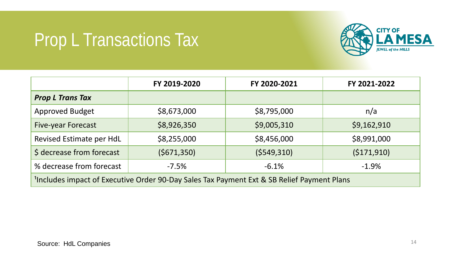### Prop L Transactions Tax



|                                                                                                        | FY 2019-2020 | FY 2020-2021 | FY 2021-2022 |  |
|--------------------------------------------------------------------------------------------------------|--------------|--------------|--------------|--|
| <b>Prop L Trans Tax</b>                                                                                |              |              |              |  |
| <b>Approved Budget</b>                                                                                 | \$8,673,000  | \$8,795,000  | n/a          |  |
| <b>Five-year Forecast</b>                                                                              | \$8,926,350  | \$9,005,310  | \$9,162,910  |  |
| Revised Estimate per HdL                                                                               | \$8,255,000  | \$8,456,000  | \$8,991,000  |  |
| \$ decrease from forecast                                                                              | (5671, 350)  | (5549, 310)  | (5171, 910)  |  |
| % decrease from forecast                                                                               | $-7.5%$      | $-6.1%$      | $-1.9%$      |  |
| <sup>1</sup> Includes impact of Executive Order 90-Day Sales Tax Payment Ext & SB Relief Payment Plans |              |              |              |  |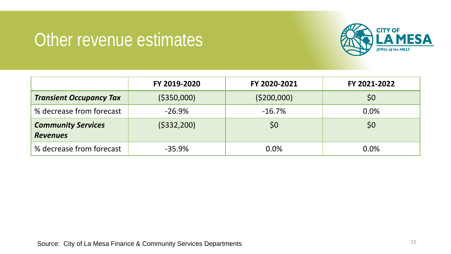#### Other revenue estimates



|                                              | FY 2019-2020 | FY 2020-2021 | FY 2021-2022 |
|----------------------------------------------|--------------|--------------|--------------|
| <b>Transient Occupancy Tax</b>               | ( \$350,000] | (5200,000)   | 50           |
| % decrease from forecast                     | $-26.9%$     | $-16.7%$     | 0.0%         |
| <b>Community Services</b><br><b>Revenues</b> | (5332, 200)  | \$0          | \$0          |
| % decrease from forecast                     | $-35.9%$     | 0.0%         | 0.0%         |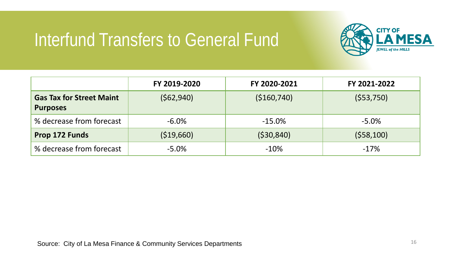#### Interfund Transfers to General Fund



|                                                    | FY 2019-2020 | FY 2020-2021 | FY 2021-2022 |  |
|----------------------------------------------------|--------------|--------------|--------------|--|
| <b>Gas Tax for Street Maint</b><br><b>Purposes</b> | (562,940)    | (\$160,740)  | (553,750)    |  |
| % decrease from forecast                           | $-6.0\%$     | $-15.0%$     | $-5.0\%$     |  |
| Prop 172 Funds                                     | ( \$19,660)  | (530, 840)   | (558, 100)   |  |
| % decrease from forecast                           | $-5.0%$      | $-10%$       | $-17%$       |  |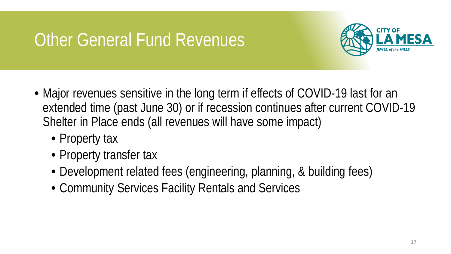#### Other General Fund Revenues



- Major revenues sensitive in the long term if effects of COVID-19 last for an extended time (past June 30) or if recession continues after current COVID-19 Shelter in Place ends (all revenues will have some impact)
	- Property tax
	- Property transfer tax
	- Development related fees (engineering, planning, & building fees)
	- Community Services Facility Rentals and Services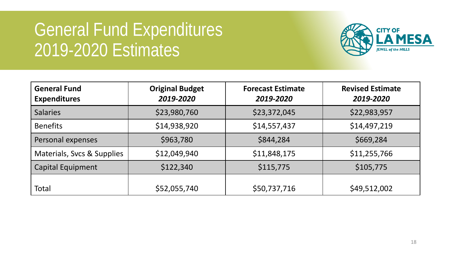## General Fund Expenditures 2019-2020 Estimates



| <b>General Fund</b><br><b>Expenditures</b> | <b>Original Budget</b><br><b>Forecast Estimate</b><br>2019-2020<br>2019-2020 |              | <b>Revised Estimate</b><br>2019-2020 |
|--------------------------------------------|------------------------------------------------------------------------------|--------------|--------------------------------------|
| <b>Salaries</b>                            | \$23,980,760                                                                 | \$23,372,045 | \$22,983,957                         |
| <b>Benefits</b>                            | \$14,938,920                                                                 | \$14,557,437 | \$14,497,219                         |
| Personal expenses                          | \$963,780                                                                    | \$844,284    | \$669,284                            |
| Materials, Svcs & Supplies                 | \$12,049,940                                                                 | \$11,848,175 | \$11,255,766                         |
| <b>Capital Equipment</b>                   | \$122,340                                                                    | \$115,775    | \$105,775                            |
| Total                                      | \$52,055,740                                                                 | \$50,737,716 | \$49,512,002                         |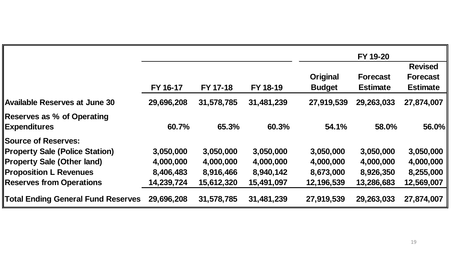|                                                          |            |            |            | FY 19-20                         |                                    |                                                      |
|----------------------------------------------------------|------------|------------|------------|----------------------------------|------------------------------------|------------------------------------------------------|
|                                                          | FY 16-17   | FY 17-18   | FY 18-19   | <b>Original</b><br><b>Budget</b> | <b>Forecast</b><br><b>Estimate</b> | <b>Revised</b><br><b>Forecast</b><br><b>Estimate</b> |
| <b>Available Reserves at June 30</b>                     | 29,696,208 | 31,578,785 | 31,481,239 | 27,919,539                       | 29,263,033                         | 27,874,007                                           |
| <b>Reserves as % of Operating</b><br><b>Expenditures</b> | 60.7%      | 65.3%      | 60.3%      | 54.1%                            | 58.0%                              | 56.0%                                                |
| <b>Source of Reserves:</b>                               |            |            |            |                                  |                                    |                                                      |
| <b>Property Sale (Police Station)</b>                    | 3,050,000  | 3,050,000  | 3,050,000  | 3,050,000                        | 3,050,000                          | 3,050,000                                            |
| <b>Property Sale (Other land)</b>                        | 4,000,000  | 4,000,000  | 4,000,000  | 4,000,000                        | 4,000,000                          | 4,000,000                                            |
| <b>Proposition L Revenues</b>                            | 8,406,483  | 8,916,466  | 8,940,142  | 8,673,000                        | 8,926,350                          | 8,255,000                                            |
| <b>Reserves from Operations</b>                          | 14,239,724 | 15,612,320 | 15,491,097 | 12,196,539                       | 13,286,683                         | 12,569,007                                           |
| <b>Total Ending General Fund Reserves</b>                | 29,696,208 | 31,578,785 | 31,481,239 | 27,919,539                       | 29,263,033                         | 27,874,007                                           |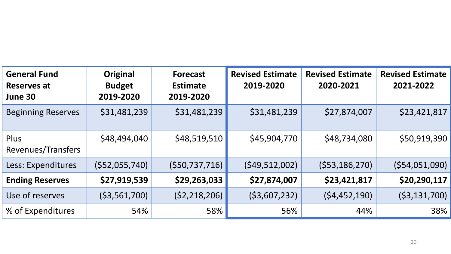| <b>General Fund</b><br><b>Reserves at</b><br>June 30 | Original<br><b>Budget</b><br>2019-2020 | <b>Forecast</b><br><b>Estimate</b><br>2019-2020 | <b>Revised Estimate</b><br>2019-2020 | <b>Revised Estimate</b><br>2020-2021 | <b>Revised Estimate</b><br>2021-2022 |
|------------------------------------------------------|----------------------------------------|-------------------------------------------------|--------------------------------------|--------------------------------------|--------------------------------------|
| <b>Beginning Reserves</b>                            | \$31,481,239                           | \$31,481,239                                    | \$31,481,239                         | \$27,874,007                         | \$23,421,817                         |
| Plus<br>Revenues/Transfers                           | \$48,494,040                           | \$48,519,510                                    | \$45,904,770                         | \$48,734,080                         | \$50,919,390                         |
| Less: Expenditures                                   | $($ \$52,055,740)                      | ( \$50, 737, 716)                               | (549, 512, 002)                      | $($ \$53,186,270)                    | (554, 051, 090)                      |
| <b>Ending Reserves</b>                               | \$27,919,539                           | \$29,263,033                                    | \$27,874,007                         | \$23,421,817                         | \$20,290,117                         |
| Use of reserves                                      | ( \$3,561,700)                         | (52, 218, 206)                                  | ( \$3,607,232)                       | (54, 452, 190)                       | ( \$3,131,700)                       |
| % of Expenditures                                    | 54%                                    | 58%                                             | 56%                                  | 44%                                  | 38%                                  |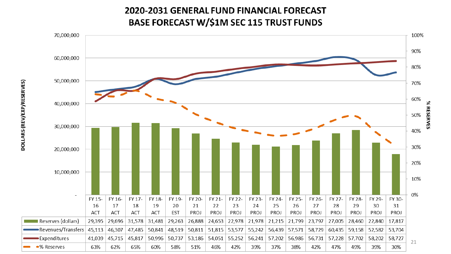# 2020-2031 GENERAL FUND FINANCIAL FORECAST

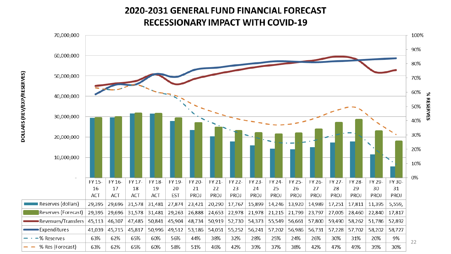# 2020-2031 GENERAL FUND FINANCIAL FORECAST